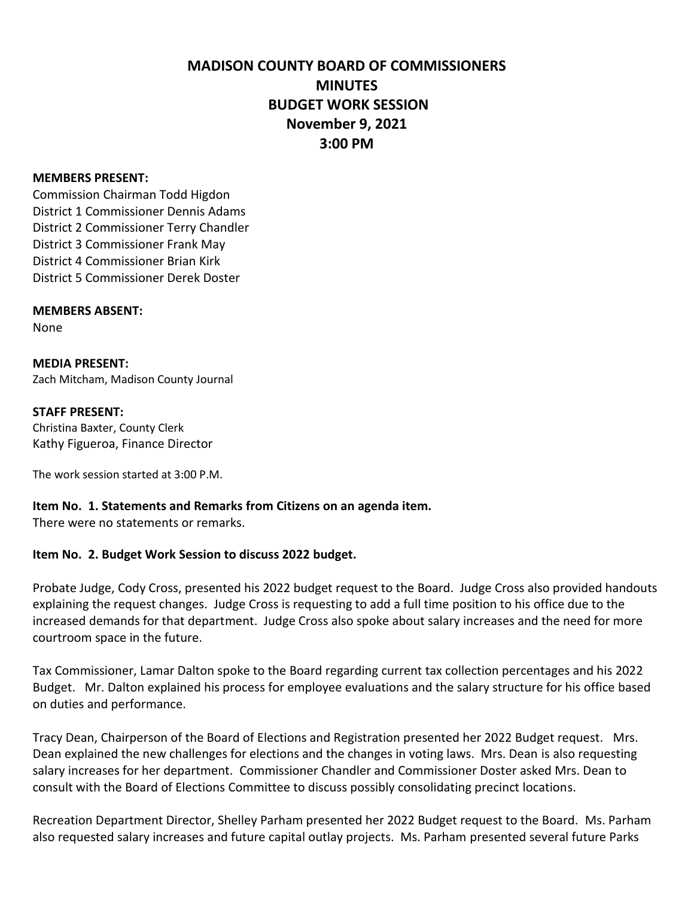# **MADISON COUNTY BOARD OF COMMISSIONERS MINUTES BUDGET WORK SESSION November 9, 2021 3:00 PM**

### **MEMBERS PRESENT:**

Commission Chairman Todd Higdon District 1 Commissioner Dennis Adams District 2 Commissioner Terry Chandler District 3 Commissioner Frank May District 4 Commissioner Brian Kirk District 5 Commissioner Derek Doster

### **MEMBERS ABSENT:**

None

**MEDIA PRESENT:** Zach Mitcham, Madison County Journal

### **STAFF PRESENT:**

Christina Baxter, County Clerk Kathy Figueroa, Finance Director

The work session started at 3:00 P.M.

# **Item No. 1. Statements and Remarks from Citizens on an agenda item.**

There were no statements or remarks.

# **Item No. 2. Budget Work Session to discuss 2022 budget.**

Probate Judge, Cody Cross, presented his 2022 budget request to the Board. Judge Cross also provided handouts explaining the request changes. Judge Cross is requesting to add a full time position to his office due to the increased demands for that department. Judge Cross also spoke about salary increases and the need for more courtroom space in the future.

Tax Commissioner, Lamar Dalton spoke to the Board regarding current tax collection percentages and his 2022 Budget. Mr. Dalton explained his process for employee evaluations and the salary structure for his office based on duties and performance.

Tracy Dean, Chairperson of the Board of Elections and Registration presented her 2022 Budget request. Mrs. Dean explained the new challenges for elections and the changes in voting laws. Mrs. Dean is also requesting salary increases for her department. Commissioner Chandler and Commissioner Doster asked Mrs. Dean to consult with the Board of Elections Committee to discuss possibly consolidating precinct locations.

Recreation Department Director, Shelley Parham presented her 2022 Budget request to the Board. Ms. Parham also requested salary increases and future capital outlay projects. Ms. Parham presented several future Parks